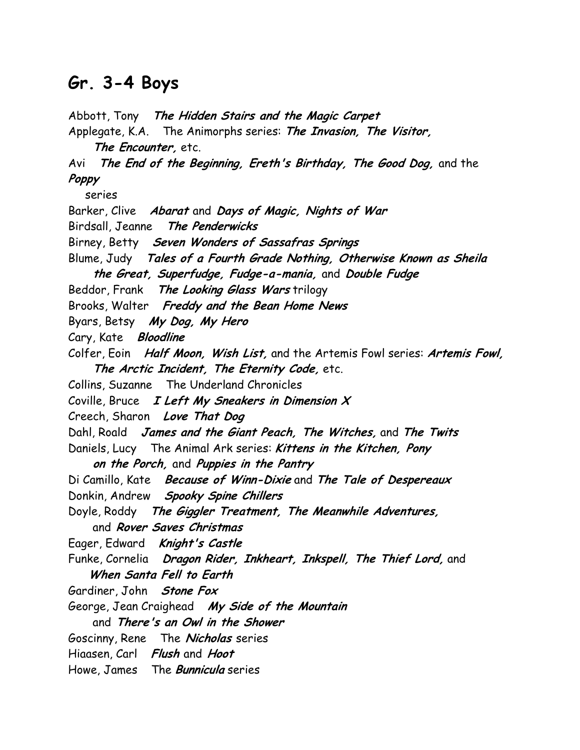## Gr. 3-4 Boys

Abbott, Tony The Hidden Stairs and the Magic Carpet

Applegate, K.A. The Animorphs series: The Invasion, The Visitor, The Encounter, etc. Avi The End of the Beginning, Ereth's Birthday, The Good Dog, and the Poppy series Barker, Clive Abarat and Days of Magic, Nights of War Birdsall, Jeanne The Penderwicks Birney, Betty Seven Wonders of Sassafras Springs Blume, Judy Tales of a Fourth Grade Nothing, Otherwise Known as Sheila the Great, Superfudge, Fudge-a-mania, and Double Fudge Beddor, Frank The Looking Glass Wars trilogy Brooks, Walter Freddy and the Bean Home News Byars, Betsy My Dog, My Hero Cary, Kate Bloodline Colfer, Eoin Half Moon, Wish List, and the Artemis Fowl series: Artemis Fowl, The Arctic Incident, The Eternity Code, etc. Collins, Suzanne The Underland Chronicles Coville, Bruce  $I$  Left My Sneakers in Dimension  $X$ Creech, Sharon Love That Dog Dahl, Roald James and the Giant Peach, The Witches, and The Twits Daniels, Lucy The Animal Ark series: Kittens in the Kitchen, Pony on the Porch, and Puppies in the Pantry Di Camillo, Kate Because of Winn-Dixie and The Tale of Despereaux Donkin, Andrew Spooky Spine Chillers Doyle, Roddy The Giggler Treatment, The Meanwhile Adventures, and Rover Saves Christmas Eager, Edward Knight's Castle Funke, Cornelia Dragon Rider, Inkheart, Inkspell, The Thief Lord, and When Santa Fell to Earth Gardiner, John Stone Fox George, Jean Craighead My Side of the Mountain and There's an Owl in the Shower Goscinny, Rene The Nicholas series Hiaasen, Carl Flush and Hoot Howe, James The **Bunnicula** series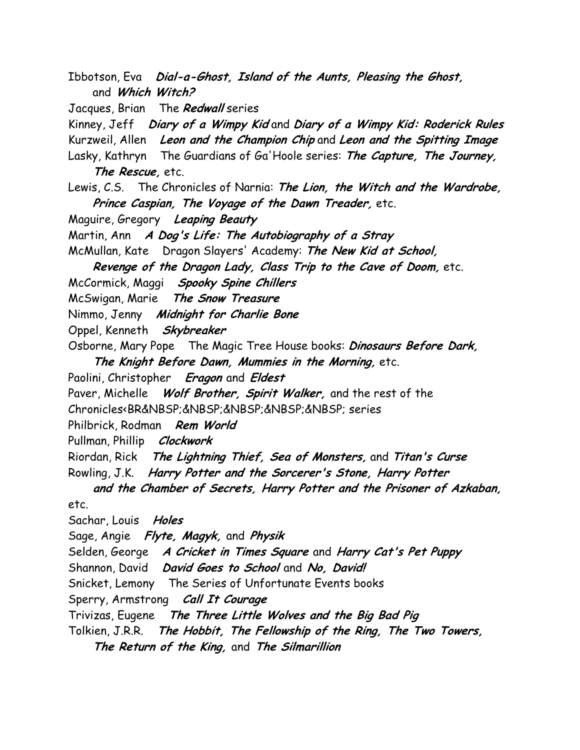Ibbotson, Eva Dial-a-Ghost, Island of the Aunts, Pleasing the Ghost, and Which Witch?

Jacques, Brian The Redwall series

Kinney, Jeff Diary of a Wimpy Kid and Diary of a Wimpy Kid: Roderick Rules

Kurzweil, Allen Leon and the Champion Chip and Leon and the Spitting Image

Lasky, Kathryn The Guardians of Ga'Hoole series: The Capture, The Journey, The Rescue, etc.

Lewis, C.S. The Chronicles of Narnia: The Lion, the Witch and the Wardrobe, Prince Caspian, The Voyage of the Dawn Treader, etc.

Maguire, Gregory Leaping Beauty

Martin, Ann A Dog's Life: The Autobiography of a Stray

McMullan, Kate Dragon Slayers' Academy: The New Kid at School,

Revenge of the Dragon Lady, Class Trip to the Cave of Doom, etc.

McCormick, Maggi Spooky Spine Chillers

McSwigan, Marie The Snow Treasure

Nimmo, Jenny Midnight for Charlie Bone

Oppel, Kenneth Skybreaker

Osborne, Mary Pope The Magic Tree House books: *Dinosaurs Before Dark*, The Knight Before Dawn, Mummies in the Morning, etc.

Paolini, Christopher Eragon and Eldest

Paver, Michelle Wolf Brother, Spirit Walker, and the rest of the

Chronicles<BR&NBSP;&NBSP;&NBSP;&NBSP;&NBSP; series

Philbrick, Rodman Rem World

Pullman, Phillip Clockwork

Riordan, Rick The Lightning Thief, Sea of Monsters, and Titan's Curse

Rowling, J.K. Harry Potter and the Sorcerer's Stone, Harry Potter

 and the Chamber of Secrets, Harry Potter and the Prisoner of Azkaban, etc.

Sachar, Louis Holes

Sage, Angie Flyte, Magyk, and Physik

Selden, George A Cricket in Times Square and Harry Cat's Pet Puppy

Shannon, David David Goes to School and No, David!

Snicket, Lemony The Series of Unfortunate Events books

Sperry, Armstrong Call It Courage

Trivizas, Eugene The Three Little Wolves and the Big Bad Pig

Tolkien, J.R.R. The Hobbit, The Fellowship of the Ring, The Two Towers,

The Return of the King, and The Silmarillion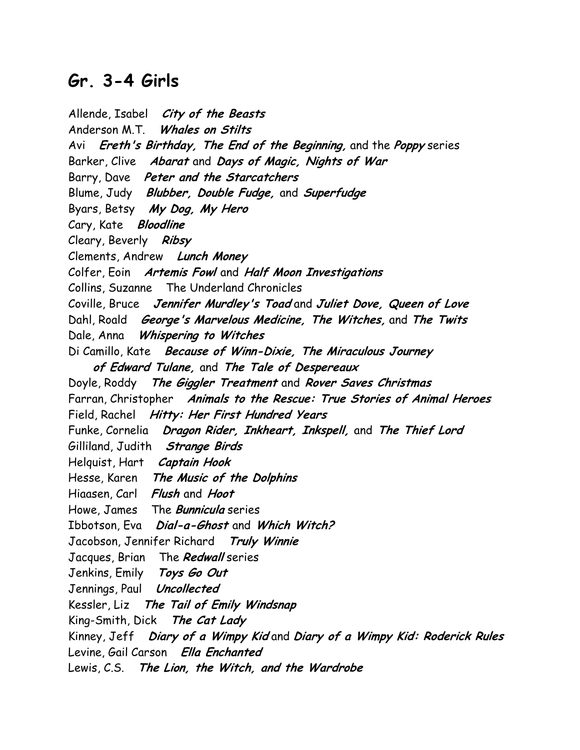## Gr. 3-4 Girls

Allende, Isabel City of the Beasts Anderson M.T. Whales on Stilts Avi Ereth's Birthday, The End of the Beginning, and the Poppy series Barker, Clive Abarat and Days of Magic, Nights of War Barry, Dave Peter and the Starcatchers Blume, Judy Blubber, Double Fudge, and Superfudge Byars, Betsy My Dog, My Hero Cary, Kate Bloodline Cleary, Beverly Ribsy Clements, Andrew Lunch Money Colfer, Eoin Artemis Fowl and Half Moon Investigations Collins, Suzanne The Underland Chronicles Coville, Bruce Jennifer Murdley's Toad and Juliet Dove, Queen of Love Dahl, Roald *George's Marvelous Medicine, The Witches,* and The Twits Dale, Anna Whispering to Witches Di Camillo, Kate Because of Winn-Dixie, The Miraculous Journey of Edward Tulane, and The Tale of Despereaux Doyle, Roddy The Giggler Treatment and Rover Saves Christmas Farran, Christopher Animals to the Rescue: True Stories of Animal Heroes Field, Rachel Hitty: Her First Hundred Years Funke, Cornelia Dragon Rider, Inkheart, Inkspell, and The Thief Lord Gilliland, Judith Strange Birds Helquist, Hart Captain Hook Hesse, Karen The Music of the Dolphins Hiaasen, Carl Flush and Hoot Howe, James The **Bunnicula** series Ibbotson, Eva Dial-a-Ghost and Which Witch? Jacobson, Jennifer Richard Truly Winnie Jacques, Brian The Redwall series Jenkins, Emily Toys Go Out Jennings, Paul *Uncollected* Kessler, Liz The Tail of Emily Windsnap King-Smith, Dick The Cat Lady Kinney, Jeff Diary of a Wimpy Kid and Diary of a Wimpy Kid: Roderick Rules Levine, Gail Carson Ella Enchanted Lewis, C.S. The Lion, the Witch, and the Wardrobe